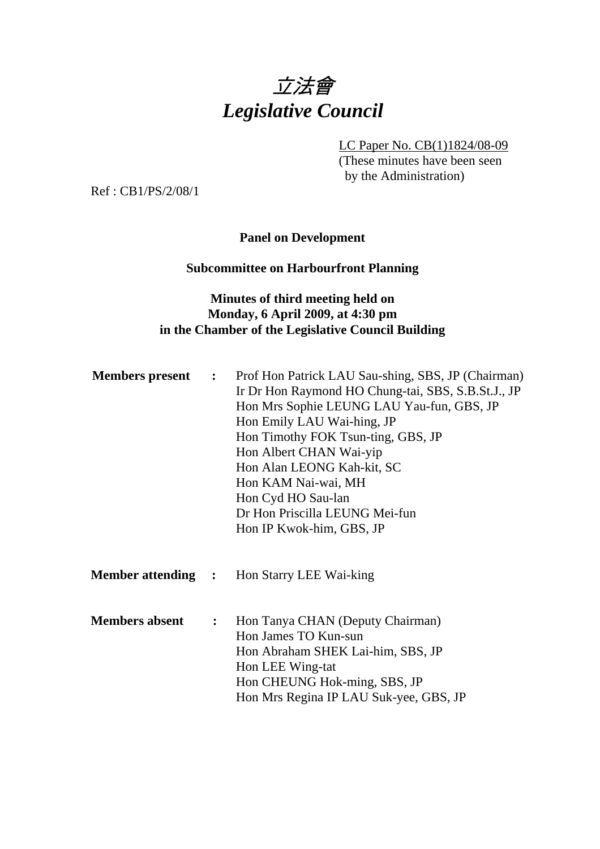

LC Paper No. CB(1)1824/08-09

(These minutes have been seen by the Administration)

Ref : CB1/PS/2/08/1

#### **Panel on Development**

### **Subcommittee on Harbourfront Planning**

## **Minutes of third meeting held on Monday, 6 April 2009, at 4:30 pm in the Chamber of the Legislative Council Building**

| <b>Members present</b> | $\ddot{\bullet}$ | Prof Hon Patrick LAU Sau-shing, SBS, JP (Chairman)<br>Ir Dr Hon Raymond HO Chung-tai, SBS, S.B.St.J., JP<br>Hon Mrs Sophie LEUNG LAU Yau-fun, GBS, JP<br>Hon Emily LAU Wai-hing, JP<br>Hon Timothy FOK Tsun-ting, GBS, JP<br>Hon Albert CHAN Wai-yip<br>Hon Alan LEONG Kah-kit, SC<br>Hon KAM Nai-wai, MH<br>Hon Cyd HO Sau-lan<br>Dr Hon Priscilla LEUNG Mei-fun<br>Hon IP Kwok-him, GBS, JP |
|------------------------|------------------|-----------------------------------------------------------------------------------------------------------------------------------------------------------------------------------------------------------------------------------------------------------------------------------------------------------------------------------------------------------------------------------------------|
|                        |                  | <b>Member attending : Hon Starry LEE Wai-king</b>                                                                                                                                                                                                                                                                                                                                             |
| <b>Members absent</b>  | $\ddot{\cdot}$   | Hon Tanya CHAN (Deputy Chairman)<br>Hon James TO Kun-sun<br>Hon Abraham SHEK Lai-him, SBS, JP<br>Hon LEE Wing-tat<br>Hon CHEUNG Hok-ming, SBS, JP<br>Hon Mrs Regina IP LAU Suk-yee, GBS, JP                                                                                                                                                                                                   |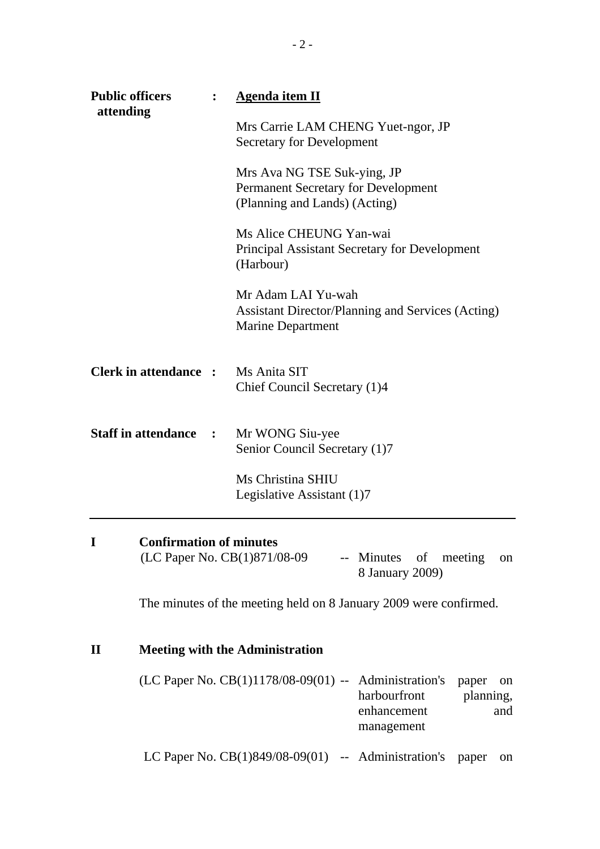|              | <b>Public officers</b><br>$\ddot{\cdot}$<br>attending | <b>Agenda item II</b>                                                                                                                |    |
|--------------|-------------------------------------------------------|--------------------------------------------------------------------------------------------------------------------------------------|----|
|              |                                                       | Mrs Carrie LAM CHENG Yuet-ngor, JP<br>Secretary for Development                                                                      |    |
|              |                                                       | Mrs Ava NG TSE Suk-ying, JP<br>Permanent Secretary for Development<br>(Planning and Lands) (Acting)                                  |    |
|              |                                                       | Ms Alice CHEUNG Yan-wai<br><b>Principal Assistant Secretary for Development</b><br>(Harbour)                                         |    |
|              |                                                       | Mr Adam LAI Yu-wah<br><b>Assistant Director/Planning and Services (Acting)</b><br><b>Marine Department</b>                           |    |
|              | Clerk in attendance :                                 | Ms Anita SIT<br>Chief Council Secretary (1)4                                                                                         |    |
|              | <b>Staff in attendance</b><br>$\sim$ :                | Mr WONG Siu-yee<br>Senior Council Secretary (1)7                                                                                     |    |
|              |                                                       | Ms Christina SHIU<br>Legislative Assistant (1)7                                                                                      |    |
| I            | <b>Confirmation of minutes</b>                        | (LC Paper No. CB(1)871/08-09<br>meeting<br>-- Minutes of<br>8 January 2009)                                                          | on |
|              |                                                       | The minutes of the meeting held on 8 January 2009 were confirmed.                                                                    |    |
| $\mathbf{I}$ |                                                       | <b>Meeting with the Administration</b>                                                                                               |    |
|              |                                                       | (LC Paper No. $CB(1)1178/08-09(01)$ --<br>Administration's<br>paper<br>harbourfront<br>planning,<br>enhancement<br>and<br>management | on |
|              |                                                       | LC Paper No. $CB(1)849/08-09(01)$ -- Administration's<br>paper                                                                       | on |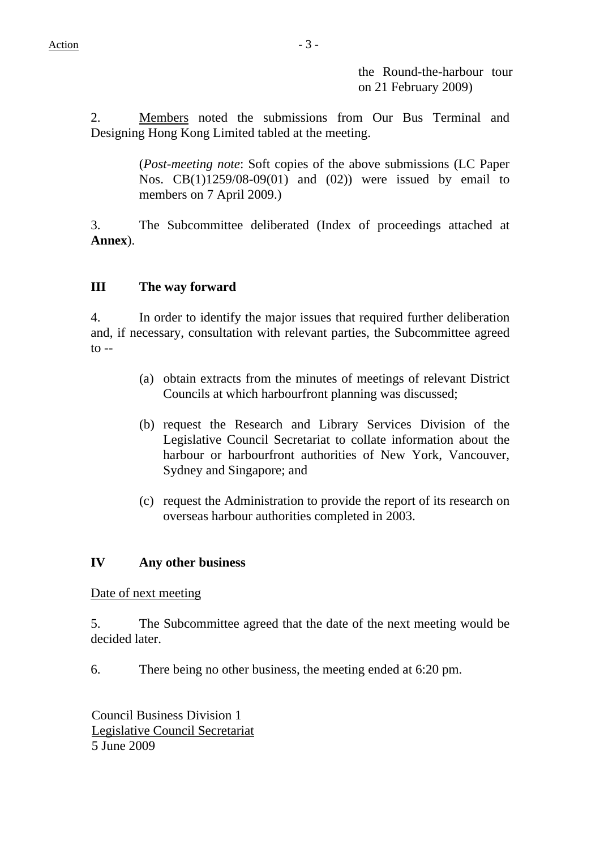the Round-the-harbour tour on 21 February 2009)

2. Members noted the submissions from Our Bus Terminal and Designing Hong Kong Limited tabled at the meeting.

> (*Post-meeting note*: Soft copies of the above submissions (LC Paper Nos. CB(1)1259/08-09(01) and (02)) were issued by email to members on 7 April 2009.)

3. The Subcommittee deliberated (Index of proceedings attached at **Annex**).

## **III The way forward**

4. In order to identify the major issues that required further deliberation and, if necessary, consultation with relevant parties, the Subcommittee agreed  $\text{to}$  --

- (a) obtain extracts from the minutes of meetings of relevant District Councils at which harbourfront planning was discussed;
- (b) request the Research and Library Services Division of the Legislative Council Secretariat to collate information about the harbour or harbourfront authorities of New York, Vancouver, Sydney and Singapore; and
- (c) request the Administration to provide the report of its research on overseas harbour authorities completed in 2003.

#### **IV Any other business**

Date of next meeting

5. The Subcommittee agreed that the date of the next meeting would be decided later.

6. There being no other business, the meeting ended at 6:20 pm.

Council Business Division 1 Legislative Council Secretariat 5 June 2009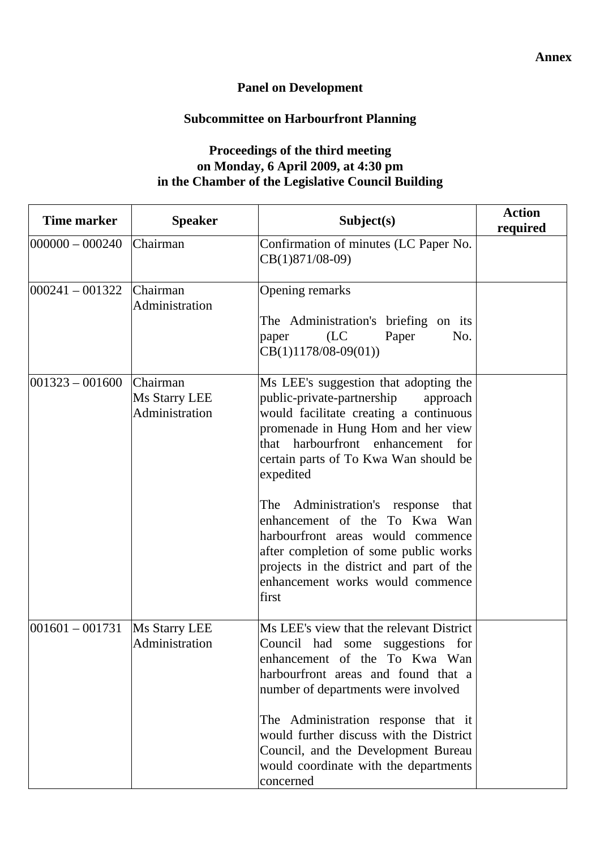# **Panel on Development**

# **Subcommittee on Harbourfront Planning**

## **Proceedings of the third meeting on Monday, 6 April 2009, at 4:30 pm in the Chamber of the Legislative Council Building**

| <b>Time marker</b>  | <b>Speaker</b>                              | Subject(s)                                                                                                                                                                                                                                                                                                                                                                                                                                                                                                  | <b>Action</b><br>required |
|---------------------|---------------------------------------------|-------------------------------------------------------------------------------------------------------------------------------------------------------------------------------------------------------------------------------------------------------------------------------------------------------------------------------------------------------------------------------------------------------------------------------------------------------------------------------------------------------------|---------------------------|
| $ 000000 - 000240 $ | Chairman                                    | Confirmation of minutes (LC Paper No.<br>$CB(1)871/08-09)$                                                                                                                                                                                                                                                                                                                                                                                                                                                  |                           |
| $ 000241 - 001322 $ | Chairman<br>Administration                  | Opening remarks<br>The Administration's briefing on its<br>(LC)<br>Paper<br>No.<br>paper<br>$CB(1)1178/08-09(01))$                                                                                                                                                                                                                                                                                                                                                                                          |                           |
| $ 001323 - 001600 $ | Chairman<br>Ms Starry LEE<br>Administration | Ms LEE's suggestion that adopting the<br>public-private-partnership<br>approach<br>would facilitate creating a continuous<br>promenade in Hung Hom and her view<br>that harbourfront enhancement for<br>certain parts of To Kwa Wan should be<br>expedited<br>The Administration's response<br>that<br>enhancement of the To Kwa Wan<br>harbourfront areas would commence<br>after completion of some public works<br>projects in the district and part of the<br>enhancement works would commence<br>first |                           |
| $ 001601 - 001731 $ | Ms Starry LEE<br>Administration             | Ms LEE's view that the relevant District<br>Council had some suggestions for<br>enhancement of the To Kwa Wan<br>harbourfront areas and found that a<br>number of departments were involved<br>The Administration response that it<br>would further discuss with the District<br>Council, and the Development Bureau<br>would coordinate with the departments<br>concerned                                                                                                                                  |                           |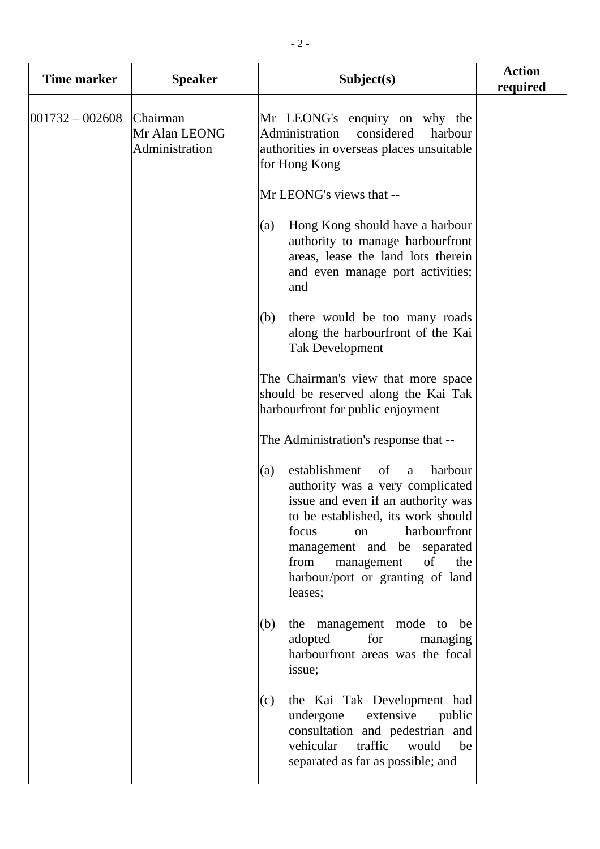| Time marker       | <b>Speaker</b>                              | Subject(s)                                                                                                                                                                                                                                                                                                                                                                                                                                                                                                                                                                                                                                                                                        | <b>Action</b><br>required |
|-------------------|---------------------------------------------|---------------------------------------------------------------------------------------------------------------------------------------------------------------------------------------------------------------------------------------------------------------------------------------------------------------------------------------------------------------------------------------------------------------------------------------------------------------------------------------------------------------------------------------------------------------------------------------------------------------------------------------------------------------------------------------------------|---------------------------|
| $001732 - 002608$ | Chairman<br>Mr Alan LEONG<br>Administration | Mr LEONG's enquiry on why the<br>Administration<br>considered<br>harbour<br>authorities in overseas places unsuitable<br>for Hong Kong<br>Mr LEONG's views that --<br>Hong Kong should have a harbour<br>(a)<br>authority to manage harbourfront<br>areas, lease the land lots therein<br>and even manage port activities;<br>and<br>there would be too many roads<br>(b)<br>along the harbourfront of the Kai<br><b>Tak Development</b><br>The Chairman's view that more space<br>should be reserved along the Kai Tak                                                                                                                                                                           |                           |
|                   |                                             | harbourfront for public enjoyment<br>The Administration's response that --<br>establishment<br>of<br>harbour<br>(a)<br>a<br>authority was a very complicated<br>issue and even if an authority was<br>to be established, its work should<br>harbourfront<br>focus<br>on<br>management and be separated<br>from<br>the<br>management<br>of<br>harbour/port or granting of land<br>leases;<br>the management mode to be<br>(b)<br>adopted<br>for<br>managing<br>harbourfront areas was the focal<br>issue;<br>the Kai Tak Development had<br>(c)<br>undergone<br>extensive<br>public<br>consultation and pedestrian and<br>vehicular<br>traffic<br>would<br>be<br>separated as far as possible; and |                           |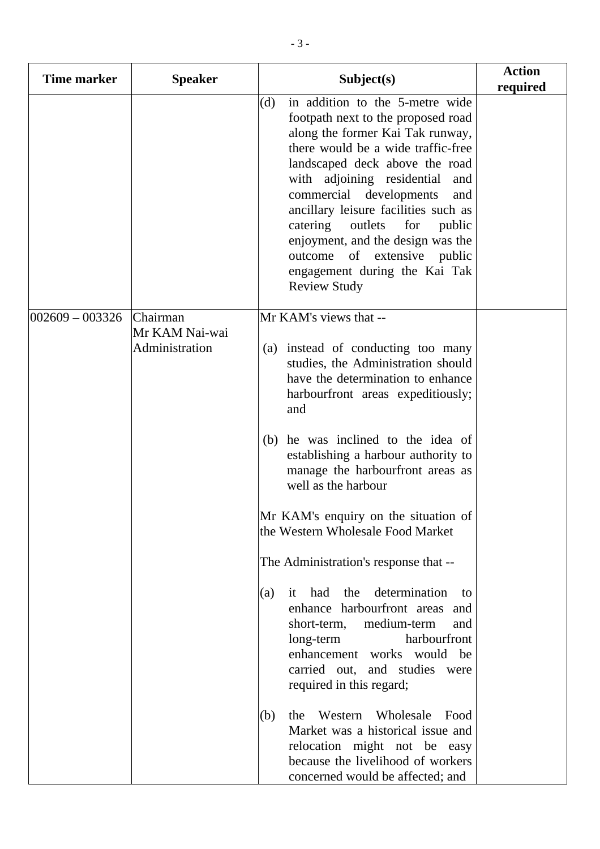| Time marker       | <b>Speaker</b>                               | Subject(s)                                                                                                                                                                                                                                                                                                                                                                                                                                                                                                                                                                                                                                                                                                                                                                                                                                                                                     | <b>Action</b><br>required |
|-------------------|----------------------------------------------|------------------------------------------------------------------------------------------------------------------------------------------------------------------------------------------------------------------------------------------------------------------------------------------------------------------------------------------------------------------------------------------------------------------------------------------------------------------------------------------------------------------------------------------------------------------------------------------------------------------------------------------------------------------------------------------------------------------------------------------------------------------------------------------------------------------------------------------------------------------------------------------------|---------------------------|
|                   |                                              | in addition to the 5-metre wide<br>(d)<br>footpath next to the proposed road<br>along the former Kai Tak runway,<br>there would be a wide traffic-free<br>landscaped deck above the road<br>with adjoining residential<br>and<br>commercial developments<br>and<br>ancillary leisure facilities such as<br>catering outlets<br>for<br>public<br>enjoyment, and the design was the<br>of extensive public<br>outcome<br>engagement during the Kai Tak<br><b>Review Study</b>                                                                                                                                                                                                                                                                                                                                                                                                                    |                           |
| $002609 - 003326$ | Chairman<br>Mr KAM Nai-wai<br>Administration | Mr KAM's views that --<br>(a) instead of conducting too many<br>studies, the Administration should<br>have the determination to enhance<br>harbourfront areas expeditiously;<br>and<br>(b) he was inclined to the idea of<br>establishing a harbour authority to<br>manage the harbourfront areas as<br>well as the harbour<br>Mr KAM's enquiry on the situation of<br>the Western Wholesale Food Market<br>The Administration's response that --<br>determination<br>the<br>had<br>(a)<br>it<br>to<br>enhance harbourfront areas and<br>medium-term<br>short-term,<br>and<br>harbourfront<br>long-term<br>enhancement works would be<br>carried out, and studies were<br>required in this regard;<br>Wholesale<br>(b)<br>the<br>Western<br>Food<br>Market was a historical issue and<br>relocation might not be easy<br>because the livelihood of workers<br>concerned would be affected; and |                           |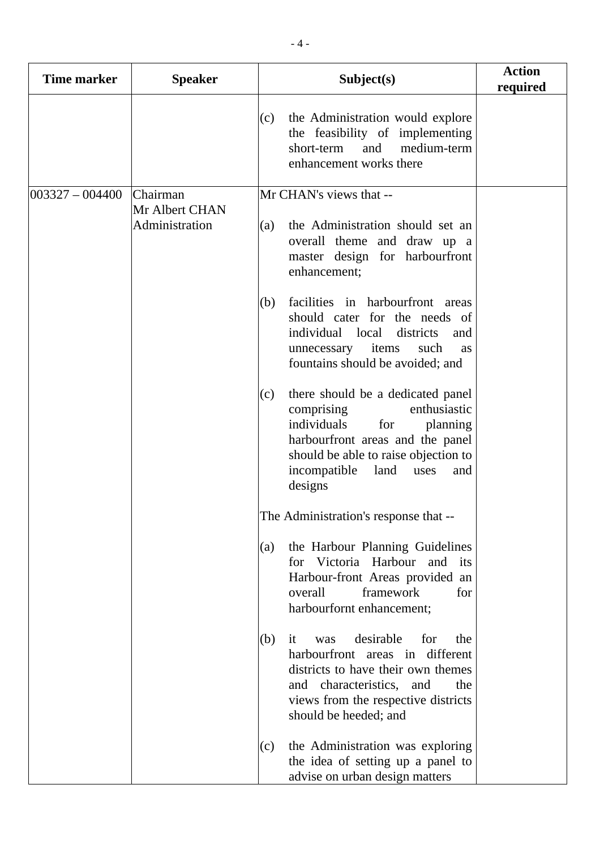| <b>Time marker</b> | <b>Speaker</b>                   | Subject(s)                                                                                                                                                                                                                             | <b>Action</b><br>required |
|--------------------|----------------------------------|----------------------------------------------------------------------------------------------------------------------------------------------------------------------------------------------------------------------------------------|---------------------------|
|                    |                                  | the Administration would explore<br>(c)<br>the feasibility of implementing<br>and<br>medium-term<br>short-term<br>enhancement works there                                                                                              |                           |
| $003327 - 004400$  | Chairman                         | Mr CHAN's views that --                                                                                                                                                                                                                |                           |
|                    | Mr Albert CHAN<br>Administration | the Administration should set an<br>(a)<br>overall theme and draw up a<br>master design for harbourfront<br>enhancement;                                                                                                               |                           |
|                    |                                  | facilities in harbourfront areas<br>(b)<br>should cater for the needs of<br>individual local<br>districts<br>and<br>items<br>such<br>unnecessary<br>as<br>fountains should be avoided; and                                             |                           |
|                    |                                  | there should be a dedicated panel<br>(c)<br>enthusiastic<br>comprising<br>individuals<br>for<br>planning<br>harbourfront areas and the panel<br>should be able to raise objection to<br>incompatible<br>land<br>uses<br>and<br>designs |                           |
|                    |                                  | The Administration's response that --                                                                                                                                                                                                  |                           |
|                    |                                  | the Harbour Planning Guidelines<br>(a)<br>for Victoria Harbour<br>and its<br>Harbour-front Areas provided an<br>framework<br>overall<br>for<br>harbourfornt enhancement;                                                               |                           |
|                    |                                  | desirable<br>for<br>(b)<br>the<br>it<br>was<br>harbourfront areas in different<br>districts to have their own themes<br>and characteristics, and<br>the<br>views from the respective districts<br>should be heeded; and                |                           |
|                    |                                  | the Administration was exploring<br>(c)<br>the idea of setting up a panel to<br>advise on urban design matters                                                                                                                         |                           |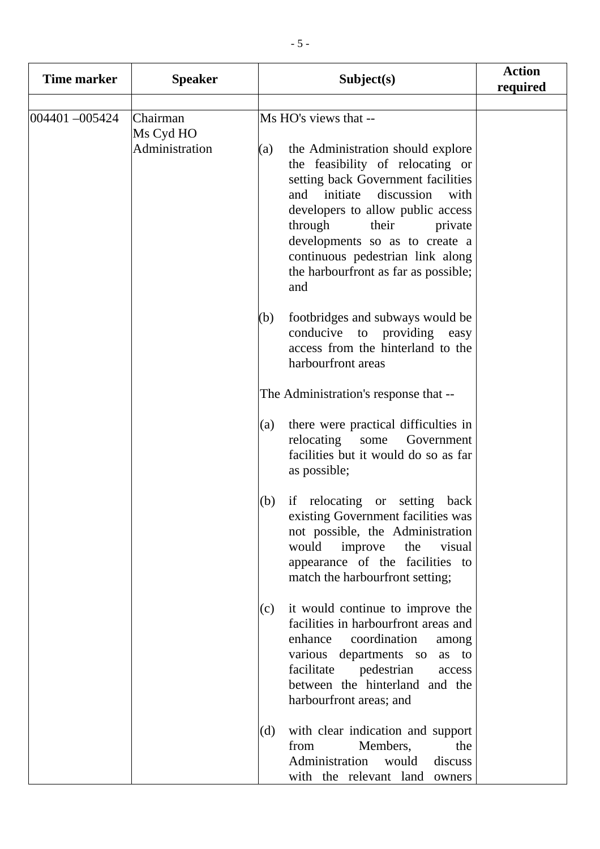| Time marker   | <b>Speaker</b>        | Subject(s)                                                                                                                                                                                                                                                                                                                                           | <b>Action</b><br>required |
|---------------|-----------------------|------------------------------------------------------------------------------------------------------------------------------------------------------------------------------------------------------------------------------------------------------------------------------------------------------------------------------------------------------|---------------------------|
| 004401-005424 | Chairman<br>Ms Cyd HO | Ms HO's views that --                                                                                                                                                                                                                                                                                                                                |                           |
|               | Administration        | the Administration should explore<br>(a)<br>the feasibility of relocating or<br>setting back Government facilities<br>discussion<br>initiate<br>and<br>with<br>developers to allow public access<br>through<br>their<br>private<br>developments so as to create a<br>continuous pedestrian link along<br>the harbourfront as far as possible;<br>and |                           |
|               |                       | footbridges and subways would be<br>(b)<br>conducive to providing<br>easy<br>access from the hinterland to the<br>harbourfront areas                                                                                                                                                                                                                 |                           |
|               |                       | The Administration's response that --                                                                                                                                                                                                                                                                                                                |                           |
|               |                       | there were practical difficulties in<br>(a)<br>relocating<br>Government<br>some<br>facilities but it would do so as far<br>as possible;                                                                                                                                                                                                              |                           |
|               |                       | if relocating or setting back<br>(b)<br>existing Government facilities was<br>not possible, the Administration<br>would<br>improve<br>the<br>visual<br>appearance of the facilities to<br>match the harbourfront setting;                                                                                                                            |                           |
|               |                       | it would continue to improve the<br>(c)<br>facilities in harbourfront areas and<br>coordination<br>enhance<br>among<br>various departments so<br>as to<br>facilitate<br>pedestrian<br>access<br>between the hinterland and the<br>harbourfront areas; and                                                                                            |                           |
|               |                       | with clear indication and support<br>(d)<br>Members,<br>from<br>the<br>Administration<br>would<br>discuss<br>with the relevant land owners                                                                                                                                                                                                           |                           |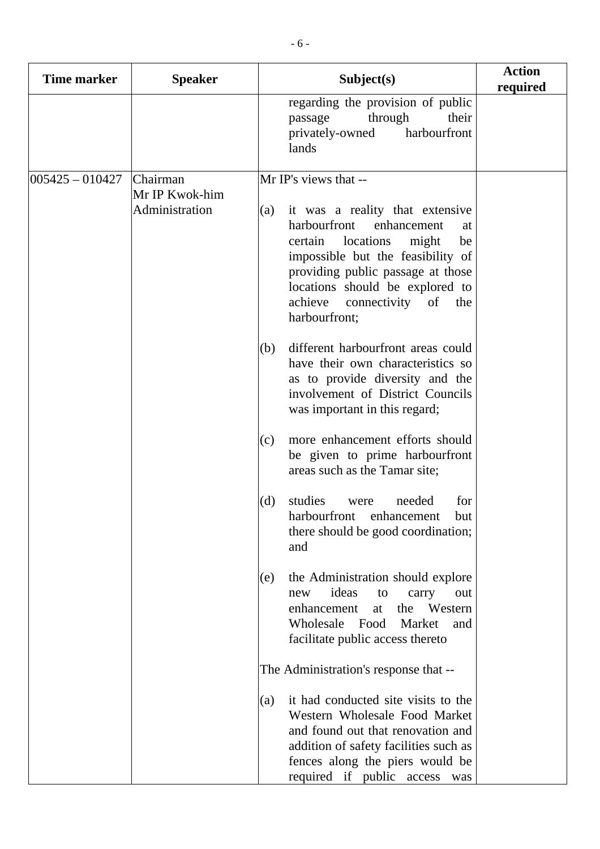| <b>Time marker</b> | <b>Speaker</b>                               | Subject(s)                                                                                                                                                                                                                                                                                                                                                                                                                                                                                                                                                                                                                                                                                                                                                                                                                                                                                                                                                                                                                                                                                                                                                                                                                        | <b>Action</b><br>required |
|--------------------|----------------------------------------------|-----------------------------------------------------------------------------------------------------------------------------------------------------------------------------------------------------------------------------------------------------------------------------------------------------------------------------------------------------------------------------------------------------------------------------------------------------------------------------------------------------------------------------------------------------------------------------------------------------------------------------------------------------------------------------------------------------------------------------------------------------------------------------------------------------------------------------------------------------------------------------------------------------------------------------------------------------------------------------------------------------------------------------------------------------------------------------------------------------------------------------------------------------------------------------------------------------------------------------------|---------------------------|
|                    |                                              | regarding the provision of public<br>through<br>their<br>passage<br>harbourfront<br>privately-owned<br>lands                                                                                                                                                                                                                                                                                                                                                                                                                                                                                                                                                                                                                                                                                                                                                                                                                                                                                                                                                                                                                                                                                                                      |                           |
| $005425 - 010427$  | Chairman<br>Mr IP Kwok-him<br>Administration | Mr IP's views that --<br>it was a reality that extensive<br>(a)<br>harbourfront<br>enhancement<br>at<br>locations<br>certain<br>might<br>be<br>impossible but the feasibility of<br>providing public passage at those<br>locations should be explored to<br>achieve<br>connectivity<br>of<br>the<br>harbourfront;<br>different harbourfront areas could<br>(b)<br>have their own characteristics so<br>as to provide diversity and the<br>involvement of District Councils<br>was important in this regard;<br>more enhancement efforts should<br>(c)<br>be given to prime harbourfront<br>areas such as the Tamar site;<br>(d)<br>studies<br>needed<br>for<br>were<br>harbourfront enhancement<br>hut.<br>there should be good coordination;<br>and<br>the Administration should explore<br>(e)<br>ideas<br>new<br>to<br>carry<br>out<br>enhancement<br>the Western<br>at<br>Wholesale<br>Food<br>Market<br>and<br>facilitate public access thereto<br>The Administration's response that --<br>it had conducted site visits to the<br>(a)<br>Western Wholesale Food Market<br>and found out that renovation and<br>addition of safety facilities such as<br>fences along the piers would be<br>required if public access<br>was |                           |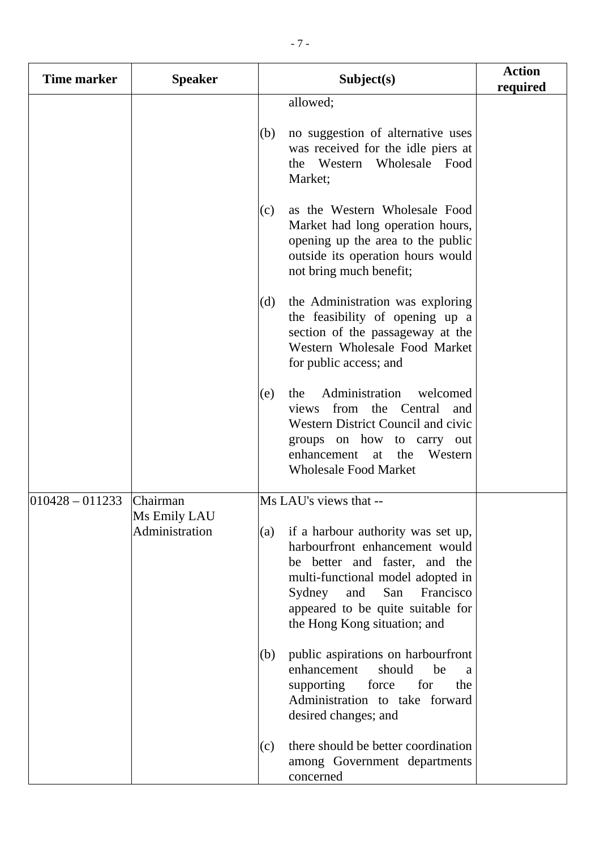| <b>Time marker</b>  | <b>Speaker</b>                 | Subject(s)                                                                                                                                                                                                                                                  | <b>Action</b><br>required |
|---------------------|--------------------------------|-------------------------------------------------------------------------------------------------------------------------------------------------------------------------------------------------------------------------------------------------------------|---------------------------|
|                     |                                | allowed;<br>no suggestion of alternative uses<br>(b)<br>was received for the idle piers at<br>the Western Wholesale Food<br>Market;                                                                                                                         |                           |
|                     |                                | as the Western Wholesale Food<br>(c)<br>Market had long operation hours,<br>opening up the area to the public<br>outside its operation hours would<br>not bring much benefit;                                                                               |                           |
|                     |                                | the Administration was exploring<br>(d)<br>the feasibility of opening up a<br>section of the passageway at the<br>Western Wholesale Food Market<br>for public access; and                                                                                   |                           |
|                     |                                | Administration<br>welcomed<br>(e)<br>the<br>from the Central<br>views<br>and<br><b>Western District Council and civic</b><br>groups on how to carry out<br>enhancement at the<br>Western<br><b>Wholesale Food Market</b>                                    |                           |
| $ 010428 - 011233 $ | Chairman                       | Ms LAU's views that --                                                                                                                                                                                                                                      |                           |
|                     | Ms Emily LAU<br>Administration | if a harbour authority was set up,<br>(a)<br>harbourfront enhancement would<br>be better and faster, and the<br>multi-functional model adopted in<br>and<br>San<br>Sydney<br>Francisco<br>appeared to be quite suitable for<br>the Hong Kong situation; and |                           |
|                     |                                | public aspirations on harbourfront<br>(b)<br>enhancement<br>should<br>be<br>a<br>supporting<br>for<br>force<br>the<br>Administration to take forward<br>desired changes; and                                                                                |                           |
|                     |                                | there should be better coordination<br>(c)<br>among Government departments<br>concerned                                                                                                                                                                     |                           |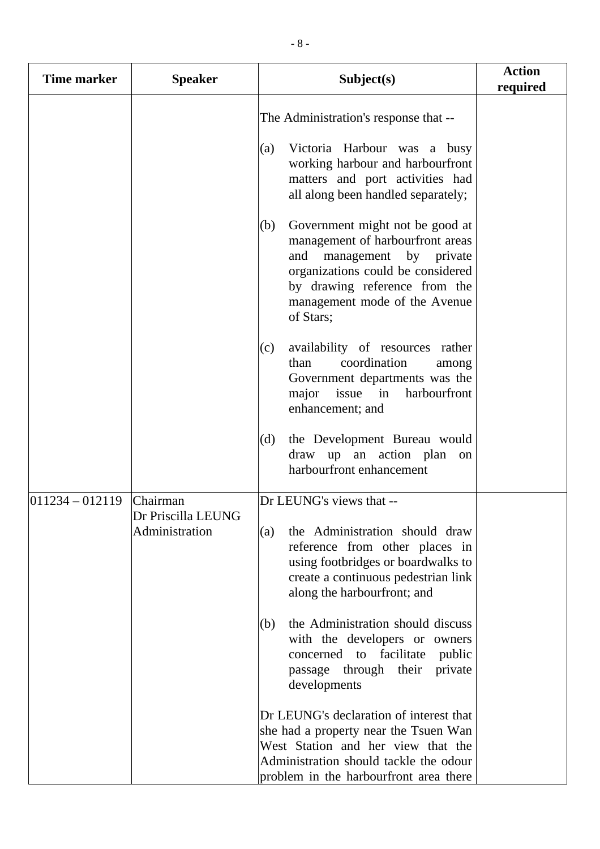| Time marker         | <b>Speaker</b>                       | Subject(s)                                                                                                                                                                                                                                                             | <b>Action</b><br>required |
|---------------------|--------------------------------------|------------------------------------------------------------------------------------------------------------------------------------------------------------------------------------------------------------------------------------------------------------------------|---------------------------|
|                     |                                      | The Administration's response that --<br>Victoria Harbour was a busy<br>(a)<br>working harbour and harbourfront<br>matters and port activities had<br>all along been handled separately;<br>(b)<br>Government might not be good at<br>management of harbourfront areas |                           |
|                     |                                      | and<br>management by private<br>organizations could be considered<br>by drawing reference from the<br>management mode of the Avenue<br>of Stars;                                                                                                                       |                           |
|                     |                                      | availability of resources rather<br>(c)<br>coordination<br>than<br>among<br>Government departments was the<br>issue in<br>harbourfront<br>major<br>enhancement; and                                                                                                    |                           |
|                     |                                      | the Development Bureau would<br>(d)<br>draw up an action plan<br>on<br>harbourfront enhancement                                                                                                                                                                        |                           |
| $ 011234 - 012119 $ | <b>Chairman</b>                      | Dr LEUNG's views that --                                                                                                                                                                                                                                               |                           |
|                     | Dr Priscilla LEUNG<br>Administration | the Administration should draw<br>(a)<br>reference from other places in<br>using footbridges or boardwalks to<br>create a continuous pedestrian link<br>along the harbourfront; and                                                                                    |                           |
|                     |                                      | the Administration should discuss<br>(b)<br>with the developers or owners<br>concerned to facilitate<br>public<br>private<br>passage through their<br>developments                                                                                                     |                           |
|                     |                                      | Dr LEUNG's declaration of interest that<br>she had a property near the Tsuen Wan<br>West Station and her view that the<br>Administration should tackle the odour<br>problem in the harbourfront area there                                                             |                           |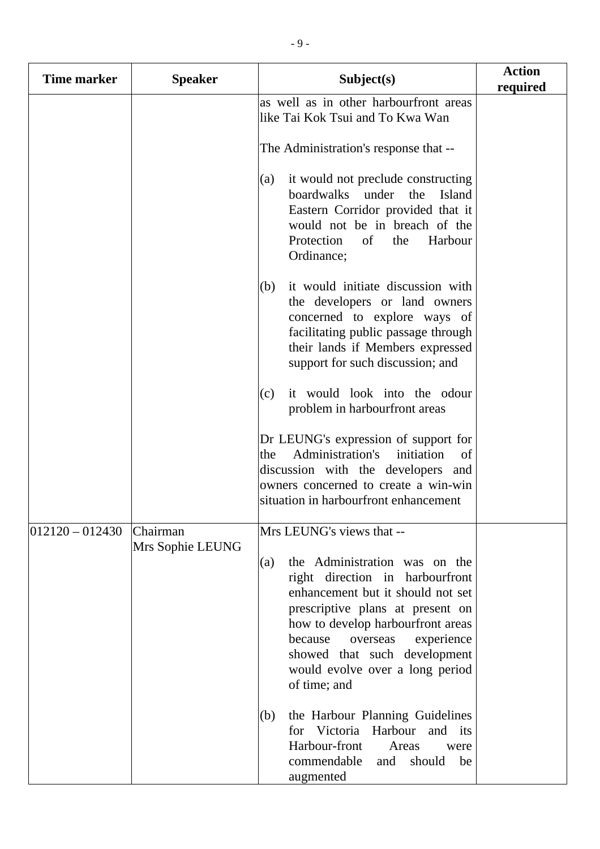| <b>Time marker</b>  | <b>Speaker</b>               | Subject(s)                                                                                                                                                                                                                                                                                                    | <b>Action</b><br>required |
|---------------------|------------------------------|---------------------------------------------------------------------------------------------------------------------------------------------------------------------------------------------------------------------------------------------------------------------------------------------------------------|---------------------------|
|                     |                              | as well as in other harbourfront areas<br>like Tai Kok Tsui and To Kwa Wan                                                                                                                                                                                                                                    |                           |
|                     |                              | The Administration's response that --                                                                                                                                                                                                                                                                         |                           |
|                     |                              | it would not preclude constructing<br>(a)<br>boardwalks under the<br>Island<br>Eastern Corridor provided that it<br>would not be in breach of the<br>of<br>Protection<br>the<br>Harbour<br>Ordinance;                                                                                                         |                           |
|                     |                              | it would initiate discussion with<br>(b)<br>the developers or land owners<br>concerned to explore ways of<br>facilitating public passage through<br>their lands if Members expressed<br>support for such discussion; and                                                                                      |                           |
|                     |                              | it would look into the odour<br>(c)<br>problem in harbourfront areas                                                                                                                                                                                                                                          |                           |
|                     |                              | Dr LEUNG's expression of support for<br>Administration's<br>initiation<br>the<br>of<br>discussion with the developers and<br>owners concerned to create a win-win<br>situation in harbourfront enhancement                                                                                                    |                           |
| $ 012120 - 012430 $ | Chairman<br>Mrs Sophie LEUNG | Mrs LEUNG's views that --                                                                                                                                                                                                                                                                                     |                           |
|                     |                              | the Administration was on the<br>(a)<br>right direction in harbourfront<br>enhancement but it should not set<br>prescriptive plans at present on<br>how to develop harbourfront areas<br>experience<br>because<br>overseas<br>showed that such development<br>would evolve over a long period<br>of time; and |                           |
|                     |                              | the Harbour Planning Guidelines<br>(b)<br>for Victoria Harbour and its<br>Harbour-front<br>Areas<br>were<br>commendable<br>should<br>and<br>be<br>augmented                                                                                                                                                   |                           |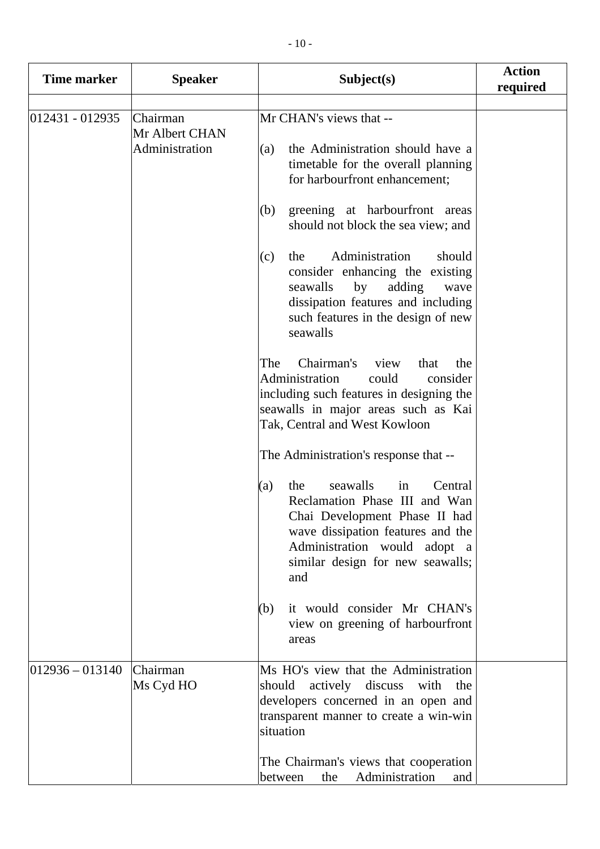| <b>Time marker</b>  | <b>Speaker</b>                               | Subject(s)                                                                                                                                                                                                                                                                                                                                                                                                                                                                                                                                                                                                                                                                                                                                                                                                                                                                                                                                                                                        | <b>Action</b><br>required |
|---------------------|----------------------------------------------|---------------------------------------------------------------------------------------------------------------------------------------------------------------------------------------------------------------------------------------------------------------------------------------------------------------------------------------------------------------------------------------------------------------------------------------------------------------------------------------------------------------------------------------------------------------------------------------------------------------------------------------------------------------------------------------------------------------------------------------------------------------------------------------------------------------------------------------------------------------------------------------------------------------------------------------------------------------------------------------------------|---------------------------|
| $012431 - 012935$   | Chairman<br>Mr Albert CHAN<br>Administration | Mr CHAN's views that --<br>the Administration should have a<br>(a)<br>timetable for the overall planning<br>for harbourfront enhancement;<br>greening at harbourfront areas<br>(b)<br>should not block the sea view; and<br>Administration<br>should<br>(c)<br>the<br>consider enhancing the existing<br>seawalls<br>by<br>adding<br>wave<br>dissipation features and including<br>such features in the design of new<br>seawalls<br>Chairman's<br>view<br>that<br>The<br>the<br>Administration<br>could<br>consider<br>including such features in designing the<br>seawalls in major areas such as Kai<br>Tak, Central and West Kowloon<br>The Administration's response that --<br>seawalls<br>Central<br>the<br>(a)<br>in<br>Reclamation Phase III and Wan<br>Chai Development Phase II had<br>wave dissipation features and the<br>Administration would adopt a<br>similar design for new seawalls;<br>and<br>it would consider Mr CHAN's<br>(b)<br>view on greening of harbourfront<br>areas |                           |
| $ 012936 - 013140 $ | Chairman<br>Ms Cyd HO                        | Ms HO's view that the Administration<br>should actively discuss with<br>the<br>developers concerned in an open and<br>transparent manner to create a win-win<br>situation<br>The Chairman's views that cooperation<br>Administration<br>between<br>the<br>and                                                                                                                                                                                                                                                                                                                                                                                                                                                                                                                                                                                                                                                                                                                                     |                           |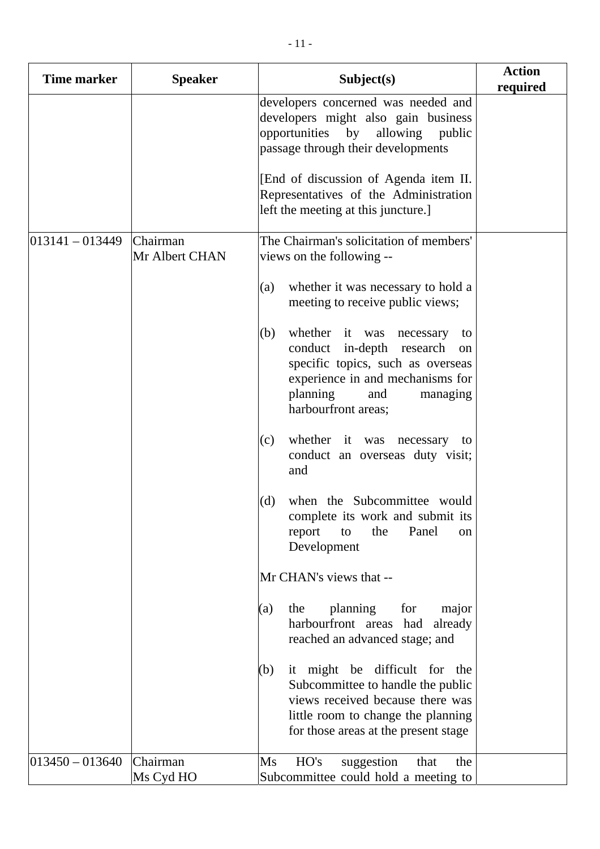| <b>Time marker</b>  | <b>Speaker</b>             | Subject(s)                                                                                                                                                                                              | <b>Action</b><br>required |
|---------------------|----------------------------|---------------------------------------------------------------------------------------------------------------------------------------------------------------------------------------------------------|---------------------------|
|                     |                            | developers concerned was needed and<br>developers might also gain business<br>opportunities by allowing<br>public<br>passage through their developments                                                 |                           |
|                     |                            | [End of discussion of Agenda item II.]<br>Representatives of the Administration<br>left the meeting at this juncture.]                                                                                  |                           |
| $013141 - 013449$   | Chairman<br>Mr Albert CHAN | The Chairman's solicitation of members'<br>views on the following --                                                                                                                                    |                           |
|                     |                            | whether it was necessary to hold a<br>(a)<br>meeting to receive public views;                                                                                                                           |                           |
|                     |                            | whether it was necessary<br>(b)<br>to<br>conduct in-depth research<br>on<br>specific topics, such as overseas<br>experience in and mechanisms for<br>planning<br>and<br>managing<br>harbourfront areas; |                           |
|                     |                            | whether it was necessary to<br>(c)<br>conduct an overseas duty visit;<br>and                                                                                                                            |                           |
|                     |                            | when the Subcommittee would<br>(d)<br>complete its work and submit its<br>Panel<br>the<br>report<br>to<br>on<br>Development                                                                             |                           |
|                     |                            | Mr CHAN's views that --                                                                                                                                                                                 |                           |
|                     |                            | planning<br>for<br>the<br>(a)<br>major<br>harbourfront areas had<br>already<br>reached an advanced stage; and                                                                                           |                           |
|                     |                            | it might be difficult for the<br>(b)<br>Subcommittee to handle the public<br>views received because there was<br>little room to change the planning<br>for those areas at the present stage             |                           |
| $ 013450 - 013640 $ | Chairman<br>Ms Cyd HO      | HO's<br>suggestion<br>$\overline{\text{Ms}}$<br>the<br>that<br>Subcommittee could hold a meeting to                                                                                                     |                           |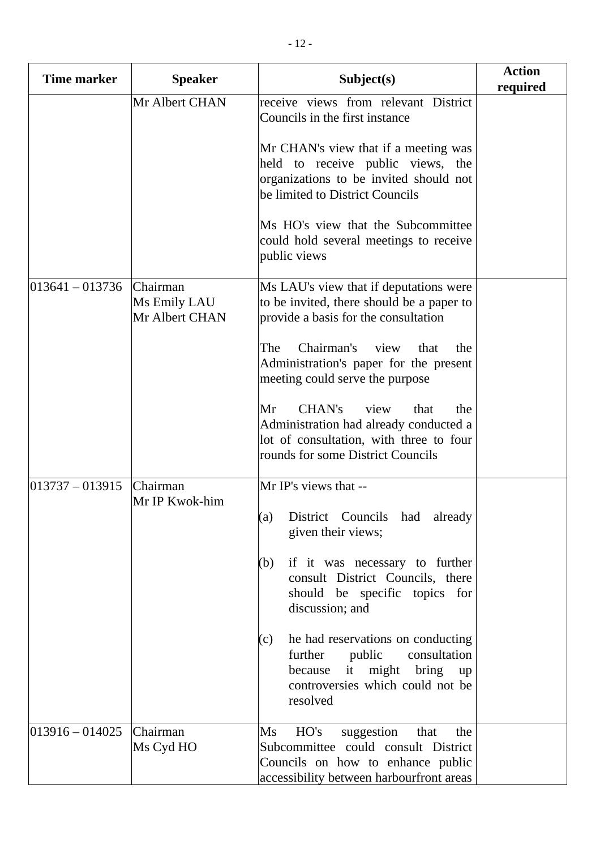| <b>Time marker</b>  | <b>Speaker</b>                             | Subject(s)                                                                                                                                                                          | <b>Action</b><br>required |
|---------------------|--------------------------------------------|-------------------------------------------------------------------------------------------------------------------------------------------------------------------------------------|---------------------------|
|                     | Mr Albert CHAN                             | receive views from relevant District<br>Councils in the first instance                                                                                                              |                           |
|                     |                                            | Mr CHAN's view that if a meeting was<br>held to receive public views, the<br>organizations to be invited should not<br>be limited to District Councils                              |                           |
|                     |                                            | Ms HO's view that the Subcommittee<br>could hold several meetings to receive<br>public views                                                                                        |                           |
| $ 013641 - 013736 $ | Chairman<br>Ms Emily LAU<br>Mr Albert CHAN | Ms LAU's view that if deputations were<br>to be invited, there should be a paper to<br>provide a basis for the consultation                                                         |                           |
|                     |                                            | Chairman's<br>The<br>view<br>that<br>the<br>Administration's paper for the present<br>meeting could serve the purpose                                                               |                           |
|                     |                                            | Mr<br>CHAN's<br>view<br>that<br>the<br>Administration had already conducted a<br>lot of consultation, with three to four<br>rounds for some District Councils                       |                           |
| $013737 - 013915$   | Chairman<br>Mr IP Kwok-him                 | Mr IP's views that --<br>(a) District Councils had already<br>given their views;                                                                                                    |                           |
|                     |                                            | if it was necessary to further<br>(b)<br>consult District Councils, there<br>should be specific topics for<br>discussion; and                                                       |                           |
|                     |                                            | he had reservations on conducting<br>(c)<br>further<br>public<br>consultation<br>because it might bring up<br>controversies which could not be<br>resolved                          |                           |
| $ 013916 - 014025$  | Chairman<br>Ms Cyd HO                      | HO's<br>suggestion<br>$\overline{\text{Ms}}$<br>that<br>the<br>Subcommittee could consult District<br>Councils on how to enhance public<br>accessibility between harbourfront areas |                           |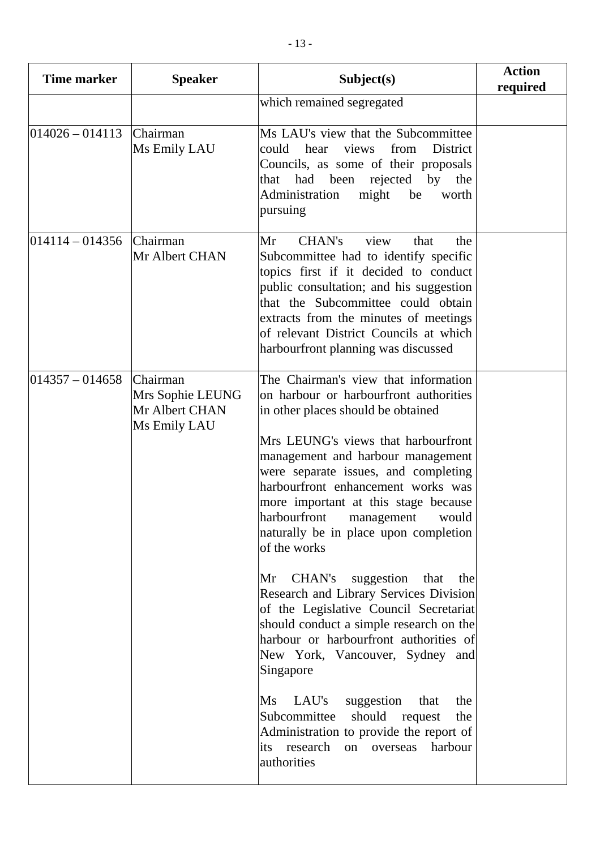| <b>Time marker</b>  | <b>Speaker</b>                                                 | Subject(s)                                                                                                                                                                                                                                                                                                                                                                                                                                                                                                                                                                                                                                                                                                                                                                                                                                                                                             | <b>Action</b><br>required |
|---------------------|----------------------------------------------------------------|--------------------------------------------------------------------------------------------------------------------------------------------------------------------------------------------------------------------------------------------------------------------------------------------------------------------------------------------------------------------------------------------------------------------------------------------------------------------------------------------------------------------------------------------------------------------------------------------------------------------------------------------------------------------------------------------------------------------------------------------------------------------------------------------------------------------------------------------------------------------------------------------------------|---------------------------|
|                     |                                                                | which remained segregated                                                                                                                                                                                                                                                                                                                                                                                                                                                                                                                                                                                                                                                                                                                                                                                                                                                                              |                           |
| $014026 - 014113$   | Chairman<br>Ms Emily LAU                                       | Ms LAU's view that the Subcommittee<br>views from<br>could hear<br>District<br>Councils, as some of their proposals<br>that had been rejected by the<br>Administration<br>might<br>be<br>worth<br>pursuing                                                                                                                                                                                                                                                                                                                                                                                                                                                                                                                                                                                                                                                                                             |                           |
| $ 014114 - 014356 $ | Chairman<br>Mr Albert CHAN                                     | <b>CHAN's</b><br>Mr<br>view<br>that<br>the<br>Subcommittee had to identify specific<br>topics first if it decided to conduct<br>public consultation; and his suggestion<br>that the Subcommittee could obtain<br>extracts from the minutes of meetings<br>of relevant District Councils at which<br>harbourfront planning was discussed                                                                                                                                                                                                                                                                                                                                                                                                                                                                                                                                                                |                           |
| $ 014357 - 014658 $ | Chairman<br>Mrs Sophie LEUNG<br>Mr Albert CHAN<br>Ms Emily LAU | The Chairman's view that information<br>on harbour or harbourfront authorities<br>in other places should be obtained<br>Mrs LEUNG's views that harbourfront<br>management and harbour management<br>were separate issues, and completing<br>harbourfront enhancement works was<br>more important at this stage because<br>harbourfront management would<br>naturally be in place upon completion<br>of the works<br>CHAN's<br>suggestion<br>Mr<br>that<br>the<br>Research and Library Services Division<br>of the Legislative Council Secretariat<br>should conduct a simple research on the<br>harbour or harbourfront authorities of<br>New York, Vancouver, Sydney and<br>Singapore<br>LAU's<br>$\overline{\text{Ms}}$<br>suggestion<br>that<br>the<br>Subcommittee<br>should request<br>the<br>Administration to provide the report of<br>research<br>harbour<br>its<br>on overseas<br>authorities |                           |